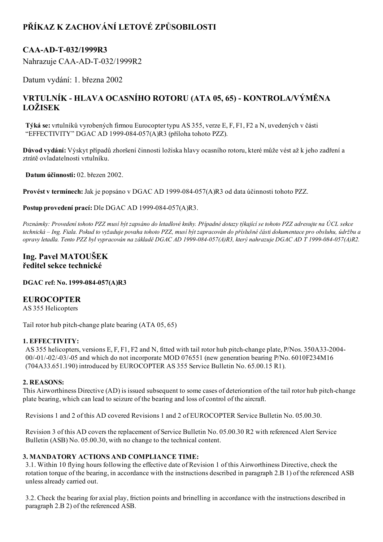# PŘÍKAZ K ZACHOVÁNÍ LETOVÉ ZPŮSOBILOSTI

# CAA-AD-T-032/1999R3

Nahrazuje CAA-AD-T-032/1999R2

Datum vydání: 1. března 2002

# VRTULNÍK HLAVA OCASNÍHO ROTORU (ATA 05, 65) KONTROLA/VÝMĚNA LOŽISEK

Týká se: vrtulníků vyrobených firmou Eurocopter typu AS 355, verze E, F, F1, F2 a N, uvedených v části "EFFECTIVITY" DGAC AD 1999-084-057(A)R3 (příloha tohoto PZZ).

Důvod vydání: Výskyt případů zhoršení činnosti ložiska hlavy ocasního rotoru, které může vést až k jeho zadření a ztrátě ovladatelnosti vrtulníku.

Datum účinnosti: 02. březen 2002.

Provést v termínech: Jak je popsáno v DGAC AD 1999-084-057(A)R3 od data účinnosti tohoto PZZ.

Postup provedení prací: Dle DGAC AD 1999-084-057(A)R3.

Poznámky: Provedení tohoto PZZ musí být zapsáno do letadlové knihy. Případné dotazy týkající se tohoto PZZ adresujte na ÚCL sekce technická – Ing. Fiala. Pokud to vyžaduje povaha tohoto PZZ, musí být zapracován do příslušné části dokumentace pro obsluhu, údržbu a opravy letadla. Tento PZZ byl vypracován na základě DGAC AD 1999-084-057(A)R3, který nahrazuje DGAC AD T 1999-084-057(A)R2.

### Ing. Pavel MATOUŠEK ředitel sekce technické

DGAC ref: No. 1999-084-057(A)R3

### EUROCOPTER

AS 355 Helicopters

Tail rotor hub pitch-change plate bearing  $(ATA\ 05, 65)$ 

#### 1. EFFECTIVITY:

AS 355 helicopters, versions E, F, F1, F2 and N, fitted with tail rotor hub pitch-change plate, P/Nos. 350A33-2004-00/01/02/03/05 and which do not incorporate MOD 076551 (new generation bearing P/No. 6010F234M16 (704A33.651.190) introduced by EUROCOPTER AS 355 Service Bulletin No. 65.00.15 R1).

#### 2. REASONS:

This Airworthiness Directive (AD) is issued subsequent to some cases of deterioration of the tail rotor hub pitch-change plate bearing, which can lead to seizure of the bearing and loss of control of the aircraft.

Revisions 1 and 2 of this AD covered Revisions 1 and 2 of EUROCOPTER Service Bulletin No. 05.00.30.

Revision 3 of this AD covers the replacement of Service Bulletin No. 05.00.30 R2 with referenced Alert Service Bulletin (ASB) No. 05.00.30, with no change to the technical content.

#### 3. MANDATORY ACTIONS AND COMPLIANCE TIME:

3.1. Within 10 flying hours following the effective date of Revision 1 of this Airworthiness Directive, check the rotation torque of the bearing, in accordance with the instructions described in paragraph 2.B 1) of the referenced ASB unless already carried out.

3.2. Check the bearing for axial play, friction points and brinelling in accordance with the instructions described in paragraph 2.B 2) of the referenced ASB.